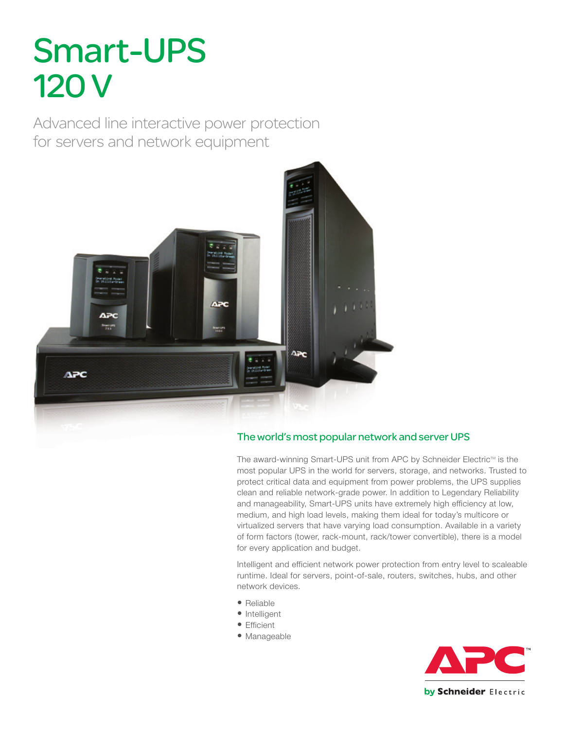# Smart-UPS 120 V

Advanced line interactive power protection for servers and network equipment



### The world's most popular network and server UPS

The award-winning Smart-UPS unit from APC by Schneider Electric™ is the most popular UPS in the world for servers, storage, and networks. Trusted to protect critical data and equipment from power problems, the UPS supplies clean and reliable network-grade power. In addition to Legendary Reliability and manageability, Smart-UPS units have extremely high efficiency at low, medium, and high load levels, making them ideal for today's multicore or virtualized servers that have varying load consumption. Available in a variety of form factors (tower, rack-mount, rack/tower convertible), there is a model for every application and budget.

Intelligent and efficient network power protection from entry level to scaleable runtime. Ideal for servers, point-of-sale, routers, switches, hubs, and other network devices.

- Reliable
- Intelligent
- Efficient
- Manageable

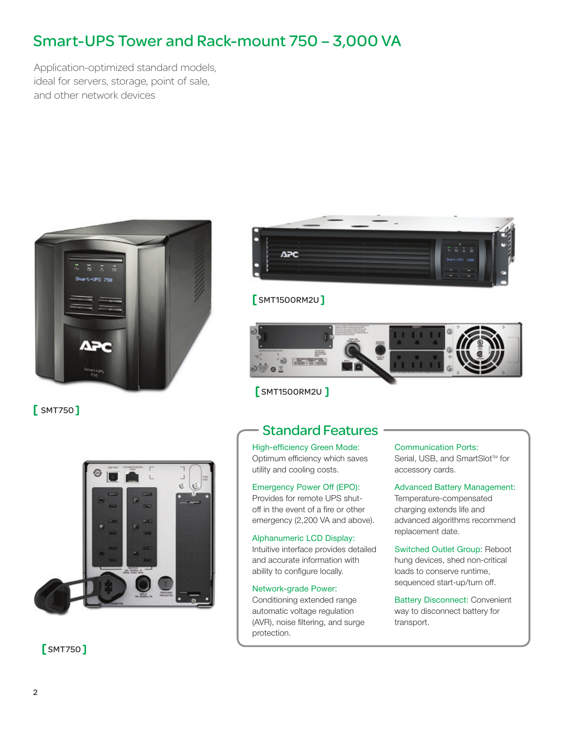## Smart-UPS Tower and Rack-mount 750 – 3,000 VA

Application-optimized standard models, ideal for servers, storage, point of sale, and other network devices



[ SMT750 ]



[ SMT750 ]



### [ SMT1500RM2U ]



### [ SMT1500RM2U ]

### Standard Features

High-efficiency Green Mode: Optimum efficiency which saves utility and cooling costs.

#### Emergency Power Off (EPO):

Provides for remote UPS shutoff in the event of a fire or other emergency (2,200 VA and above).

#### Alphanumeric LCD Display:

Intuitive interface provides detailed and accurate information with ability to configure locally.

#### Network-grade Power:

Conditioning extended range automatic voltage regulation (AVR), noise filtering, and surge protection.

#### Communication Ports:

Serial, USB, and SmartSlot<sup>™</sup> for accessory cards.

Advanced Battery Management: Temperature-compensated charging extends life and advanced algorithms recommend replacement date.

Switched Outlet Group: Reboot hung devices, shed non-critical loads to conserve runtime, sequenced start-up/turn off.

Battery Disconnect: Convenient way to disconnect battery for transport.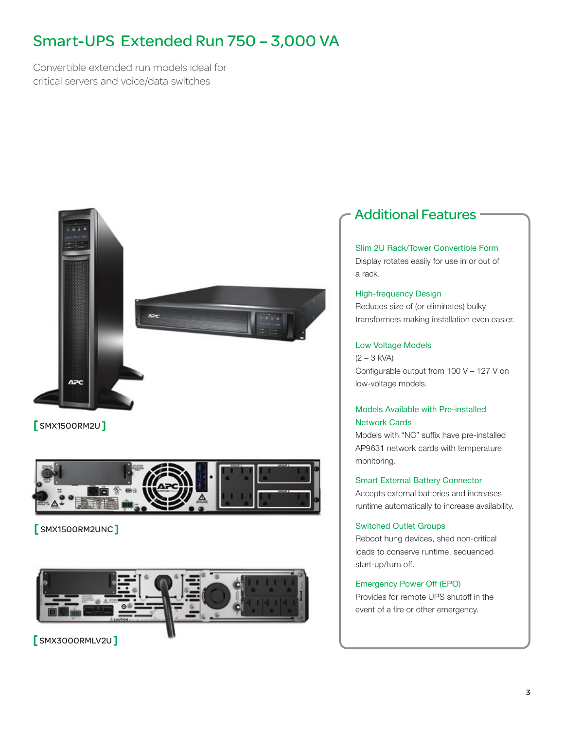# Smart-UPS Extended Run 750 – 3,000 VA

Convertible extended run models ideal for critical servers and voice/data switches



[ SMX1500RM2U ]



[ SMX1500RM2UNC ]



### [ SMX3000RMLV2U ]

### Additional Features

#### Slim 2U Rack/Tower Convertible Form

Display rotates easily for use in or out of a rack.

#### High-frequency Design Reduces size of (or eliminates) bulky transformers making installation even easier.

#### Low Voltage Models

(2 – 3 kVA) Configurable output from 100 V – 127 V on low-voltage models.

#### Models Available with Pre-installed Network Cards

Models with "NC" suffix have pre-installed AP9631 network cards with temperature monitoring.

#### Smart External Battery Connector

Accepts external batteries and increases runtime automatically to increase availability.

#### Switched Outlet Groups

Reboot hung devices, shed non-critical loads to conserve runtime, sequenced start-up/turn off.

#### Emergency Power Off (EPO)

Provides for remote UPS shutoff in the event of a fire or other emergency.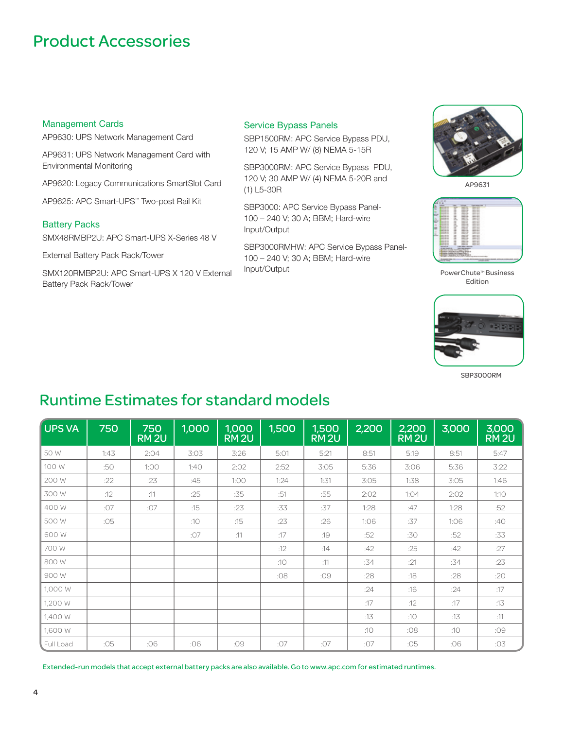### Product Accessories

#### Management Cards

AP9630: UPS Network Management Card

AP9631: UPS Network Management Card with Environmental Monitoring

AP9620: Legacy Communications SmartSlot Card

AP9625: APC Smart-UPS™ Two-post Rail Kit

#### Battery Packs

SMX48RMBP2U: APC Smart-UPS X-Series 48 V

External Battery Pack Rack/Tower

SMX120RMBP2U: APC Smart-UPS X 120 V External Battery Pack Rack/Tower

#### Service Bypass Panels

SBP1500RM: APC Service Bypass PDU, 120 V; 15 AMP W/ (8) NEMA 5-15R

SBP3000RM: APC Service Bypass PDU, 120 V; 30 AMP W/ (4) NEMA 5-20R and (1) L5-30R

SBP3000: APC Service Bypass Panel-100 – 240 V; 30 A; BBM; Hard-wire Input/Output

SBP3000RMHW: APC Service Bypass Panel-100 – 240 V; 30 A; BBM; Hard-wire Input/Output



AP9631



PowerChute™ Business Edition



SBP3000RM

### Runtime Estimates for standard models

| UPS VA    | 750  | 750<br>RM <sub>2U</sub> | 1,000 | 1,000<br><b>RM2U</b> | 1,500 | 1,500<br>RM <sub>2U</sub> | 2,200 | 2,200<br>RM <sub>2U</sub> | 3,000 | 3,000<br>RM <sub>2U</sub> |
|-----------|------|-------------------------|-------|----------------------|-------|---------------------------|-------|---------------------------|-------|---------------------------|
| 50 W      | 1:43 | 2:04                    | 3:03  | 3:26                 | 5:01  | 5:21                      | 8:51  | 5:19                      | 8:51  | 5:47                      |
| 100 W     | :50  | 1:00                    | 1:40  | 2:02                 | 2:52  | 3:05                      | 5:36  | 3:06                      | 5:36  | 3:22                      |
| 200 W     | :22  | :23                     | :45   | 1:00                 | 1:24  | 1:31                      | 3:05  | 1:38                      | 3:05  | 1:46                      |
| 300 W     | :12  | :11                     | :25   | :35                  | :51   | :55                       | 2:02  | 1:04                      | 2:02  | 1:10                      |
| 400 W     | :07  | :07                     | :15   | :23                  | :33   | :37                       | 1:28  | :47                       | 1:28  | :52                       |
| 500 W     | :05  |                         | :10   | :15                  | :23   | :26                       | 1:06  | :37                       | 1:06  | :40                       |
| 600 W     |      |                         | :07   | :11                  | :17   | :19                       | :52   | :30                       | :52   | :33                       |
| 700 W     |      |                         |       |                      | :12   | :14                       | :42   | :25                       | :42   | :27                       |
| 800 W     |      |                         |       |                      | :10   | :11                       | :34   | :21                       | :34   | :23                       |
| 900 W     |      |                         |       |                      | :08   | :09                       | :28   | :18                       | :28   | :20                       |
| 1,000 W   |      |                         |       |                      |       |                           | :24   | :16                       | :24   | :17                       |
| 1,200 W   |      |                         |       |                      |       |                           | :17   | :12                       | :17   | :13                       |
| 1,400 W   |      |                         |       |                      |       |                           | :13   | :10                       | :13   | :11                       |
| 1,600 W   |      |                         |       |                      |       |                           | :10   | :08                       | :10   | :09                       |
| Full Load | :05  | :06                     | :06   | :09                  | :07   | :07                       | :07   | :05                       | :06   | :03                       |

Extended-run models that accept external battery packs are also available. Go to www.apc.com for estimated runtimes.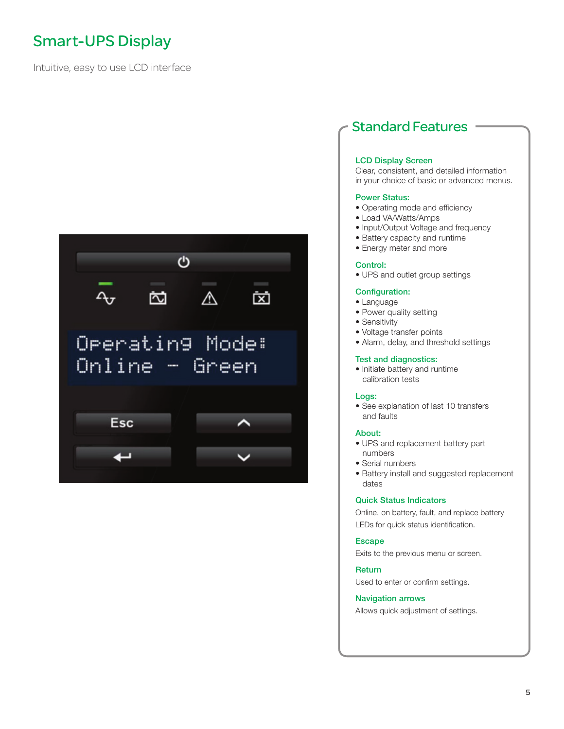# Smart-UPS Display

Intuitive, easy to use LCD interface



### Standard Features

#### LCD Display Screen

Clear, consistent, and detailed information in your choice of basic or advanced menus.

#### Power Status:

- Operating mode and efficiency
- Load VA/Watts/Amps
- Input/Output Voltage and frequency
- Battery capacity and runtime
- Energy meter and more

#### Control:

• UPS and outlet group settings

#### Configuration:

- Language
- Power quality setting
- Sensitivity
- Voltage transfer points
- Alarm, delay, and threshold settings

#### Test and diagnostics:

• Initiate battery and runtime calibration tests

#### Logs:

• See explanation of last 10 transfers and faults

#### About:

- UPS and replacement battery part numbers
- Serial numbers
- Battery install and suggested replacement dates

#### Quick Status Indicators

Online, on battery, fault, and replace battery LEDs for quick status identification.

#### Escape

Exits to the previous menu or screen.

#### **Return**

Used to enter or confirm settings.

#### Navigation arrows

Allows quick adjustment of settings.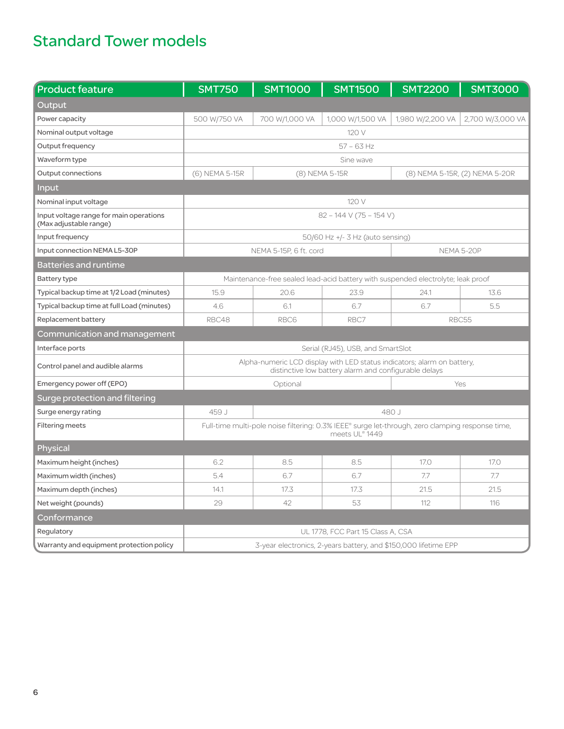# Standard Tower models

| <b>Product feature</b>                                            | <b>SMT750</b>                                                                                                                    | <b>SMT1000</b>         | <b>SMT1500</b>                   | <b>SMT2200</b>   | <b>SMT3000</b>                 |  |  |  |
|-------------------------------------------------------------------|----------------------------------------------------------------------------------------------------------------------------------|------------------------|----------------------------------|------------------|--------------------------------|--|--|--|
| Output                                                            |                                                                                                                                  |                        |                                  |                  |                                |  |  |  |
| Power capacity                                                    | 500 W/750 VA                                                                                                                     | 700 W/1,000 VA         | 1,000 W/1,500 VA                 | 1,980 W/2,200 VA | 2,700 W/3,000 VA               |  |  |  |
| Nominal output voltage                                            | 120V                                                                                                                             |                        |                                  |                  |                                |  |  |  |
| Output frequency                                                  | $57 - 63$ Hz                                                                                                                     |                        |                                  |                  |                                |  |  |  |
| Waveform type                                                     | Sine wave                                                                                                                        |                        |                                  |                  |                                |  |  |  |
| Output connections                                                | (6) NEMA 5-15R                                                                                                                   | (8) NEMA 5-15R         |                                  |                  | (8) NEMA 5-15R, (2) NEMA 5-20R |  |  |  |
| Input                                                             |                                                                                                                                  |                        |                                  |                  |                                |  |  |  |
| Nominal input voltage                                             | 120 V                                                                                                                            |                        |                                  |                  |                                |  |  |  |
| Input voltage range for main operations<br>(Max adjustable range) | $82 - 144$ V (75 - 154 V)                                                                                                        |                        |                                  |                  |                                |  |  |  |
| Input frequency                                                   |                                                                                                                                  |                        | 50/60 Hz +/- 3 Hz (auto sensing) |                  |                                |  |  |  |
| Input connection NEMA L5-30P                                      |                                                                                                                                  | NEMA 5-15P, 6 ft. cord |                                  | NEMA 5-20P       |                                |  |  |  |
| Batteries and runtime                                             |                                                                                                                                  |                        |                                  |                  |                                |  |  |  |
| <b>Battery type</b>                                               | Maintenance-free sealed lead-acid battery with suspended electrolyte; leak proof                                                 |                        |                                  |                  |                                |  |  |  |
| Typical backup time at 1/2 Load (minutes)                         | 15.9                                                                                                                             | 20.6                   | 23.9                             | 24.1             | 13.6                           |  |  |  |
| Typical backup time at full Load (minutes)                        | 4.6                                                                                                                              | 6.1                    | 6.7                              | 6.7              | 5.5                            |  |  |  |
| Replacement battery                                               | RBC48<br>RBC6<br>RBC7<br>RBC55                                                                                                   |                        |                                  |                  |                                |  |  |  |
| Communication and management                                      |                                                                                                                                  |                        |                                  |                  |                                |  |  |  |
| Interface ports                                                   | Serial (RJ45), USB, and SmartSlot                                                                                                |                        |                                  |                  |                                |  |  |  |
| Control panel and audible alarms                                  | Alpha-numeric LCD display with LED status indicators; alarm on battery,<br>distinctive low battery alarm and configurable delays |                        |                                  |                  |                                |  |  |  |
| Emergency power off (EPO)                                         |                                                                                                                                  | Optional               | Yes                              |                  |                                |  |  |  |
| Surge protection and filtering                                    |                                                                                                                                  |                        |                                  |                  |                                |  |  |  |
| Surge energy rating                                               | 459 J<br>480 J                                                                                                                   |                        |                                  |                  |                                |  |  |  |
| <b>Filtering meets</b>                                            | Full-time multi-pole noise filtering: 0.3% IEEE® surge let-through, zero clamping response time,<br>meets UL® 1449               |                        |                                  |                  |                                |  |  |  |
| Physical                                                          |                                                                                                                                  |                        |                                  |                  |                                |  |  |  |
| Maximum height (inches)                                           | 6.2                                                                                                                              | 8.5                    | 8.5                              | 17.0             | 17.0                           |  |  |  |
| Maximum width (inches)                                            | 5.4                                                                                                                              | 6.7                    | 6.7                              | 7.7              | 7.7                            |  |  |  |
| Maximum depth (inches)                                            | 14.1                                                                                                                             | 17.3                   | 17.3                             | 21.5             | 21.5                           |  |  |  |
| Net weight (pounds)                                               | 29                                                                                                                               | 42                     | 53                               | 112              | 116                            |  |  |  |
| Conformance                                                       |                                                                                                                                  |                        |                                  |                  |                                |  |  |  |
| Regulatory                                                        | UL 1778, FCC Part 15 Class A, CSA                                                                                                |                        |                                  |                  |                                |  |  |  |
| Warranty and equipment protection policy                          | 3-year electronics, 2-years battery, and \$150,000 lifetime EPP                                                                  |                        |                                  |                  |                                |  |  |  |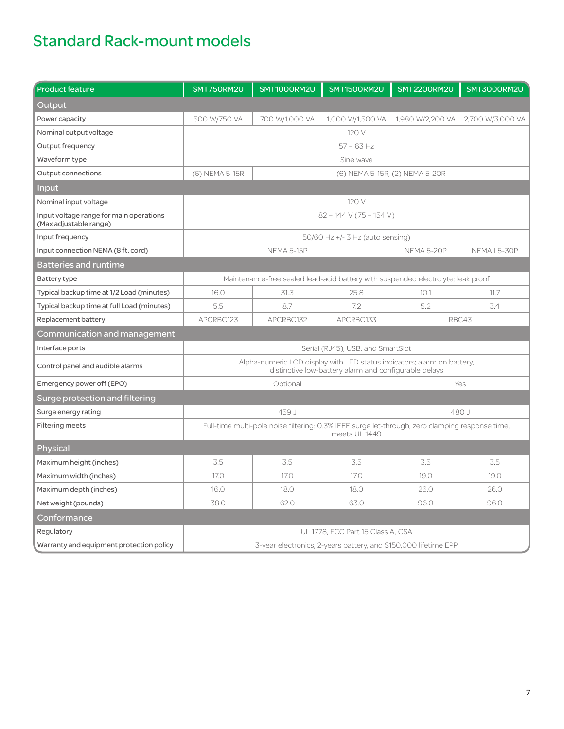# Standard Rack-mount models

| <b>Product feature</b>                                                                                      | SMT750RM2U                                                                                                                       | SMT1000RM2U       | SMT1500RM2U      | <b>SMT2200RM2U</b> | SMT3000RM2U      |  |  |  |
|-------------------------------------------------------------------------------------------------------------|----------------------------------------------------------------------------------------------------------------------------------|-------------------|------------------|--------------------|------------------|--|--|--|
| Output                                                                                                      |                                                                                                                                  |                   |                  |                    |                  |  |  |  |
| Power capacity                                                                                              | 500 W/750 VA                                                                                                                     | 700 W/1,000 VA    | 1,000 W/1,500 VA | 1,980 W/2,200 VA   | 2,700 W/3,000 VA |  |  |  |
| Nominal output voltage                                                                                      |                                                                                                                                  |                   | 120 V            |                    |                  |  |  |  |
| Output frequency                                                                                            | $57 - 63$ Hz                                                                                                                     |                   |                  |                    |                  |  |  |  |
| Waveform type                                                                                               | Sine wave                                                                                                                        |                   |                  |                    |                  |  |  |  |
| Output connections                                                                                          | (6) NEMA 5-15R<br>(6) NEMA 5-15R, (2) NEMA 5-20R                                                                                 |                   |                  |                    |                  |  |  |  |
| <b>Input</b>                                                                                                |                                                                                                                                  |                   |                  |                    |                  |  |  |  |
| Nominal input voltage                                                                                       | 120 V                                                                                                                            |                   |                  |                    |                  |  |  |  |
| Input voltage range for main operations<br>(Max adjustable range)                                           | $82 - 144$ V (75 – 154 V)                                                                                                        |                   |                  |                    |                  |  |  |  |
| Input frequency                                                                                             | 50/60 Hz +/- 3 Hz (auto sensing)                                                                                                 |                   |                  |                    |                  |  |  |  |
| Input connection NEMA (8 ft. cord)                                                                          |                                                                                                                                  | <b>NEMA 5-15P</b> |                  | <b>NEMA 5-20P</b>  | NEMA L5-30P      |  |  |  |
| Batteries and runtime                                                                                       |                                                                                                                                  |                   |                  |                    |                  |  |  |  |
| <b>Battery type</b>                                                                                         | Maintenance-free sealed lead-acid battery with suspended electrolyte; leak proof                                                 |                   |                  |                    |                  |  |  |  |
| Typical backup time at 1/2 Load (minutes)                                                                   | 16.0                                                                                                                             | 31.3              | 25.8             | 10.1               | 11.7             |  |  |  |
| Typical backup time at full Load (minutes)                                                                  | 5.5                                                                                                                              | 8.7               | 7.2              | 5.2                | 3.4              |  |  |  |
| Replacement battery                                                                                         | APCRBC123<br>APCRBC132<br>APCRBC133<br>RBC43                                                                                     |                   |                  |                    |                  |  |  |  |
| Communication and management                                                                                |                                                                                                                                  |                   |                  |                    |                  |  |  |  |
| Interface ports                                                                                             | Serial (RJ45), USB, and SmartSlot                                                                                                |                   |                  |                    |                  |  |  |  |
| Control panel and audible alarms                                                                            | Alpha-numeric LCD display with LED status indicators; alarm on battery,<br>distinctive low-battery alarm and configurable delays |                   |                  |                    |                  |  |  |  |
| Emergency power off (EPO)                                                                                   |                                                                                                                                  | Optional          | Yes              |                    |                  |  |  |  |
| Surge protection and filtering                                                                              |                                                                                                                                  |                   |                  |                    |                  |  |  |  |
| Surge energy rating                                                                                         |                                                                                                                                  | 459 J             | 480J             |                    |                  |  |  |  |
| <b>Filtering meets</b>                                                                                      | Full-time multi-pole noise filtering: 0.3% IEEE surge let-through, zero clamping response time,<br>meets UL 1449                 |                   |                  |                    |                  |  |  |  |
| Physical                                                                                                    |                                                                                                                                  |                   |                  |                    |                  |  |  |  |
| Maximum height (inches)                                                                                     | 3.5                                                                                                                              | 3.5               | 3.5              | 3.5                | 3.5              |  |  |  |
| Maximum width (inches)                                                                                      | 17.0                                                                                                                             | 17.0              | 17.0             | 19.0               | 19.0             |  |  |  |
| Maximum depth (inches)                                                                                      | 16.0                                                                                                                             | 18.0              | 18.0             | 26.0               | 26.0             |  |  |  |
| Net weight (pounds)                                                                                         | 38.0                                                                                                                             | 62.0              | 63.0             | 96.0               | 96.0             |  |  |  |
| Conformance                                                                                                 |                                                                                                                                  |                   |                  |                    |                  |  |  |  |
| Regulatory                                                                                                  | UL 1778, FCC Part 15 Class A, CSA                                                                                                |                   |                  |                    |                  |  |  |  |
| Warranty and equipment protection policy<br>3-year electronics, 2-years battery, and \$150,000 lifetime EPP |                                                                                                                                  |                   |                  |                    |                  |  |  |  |